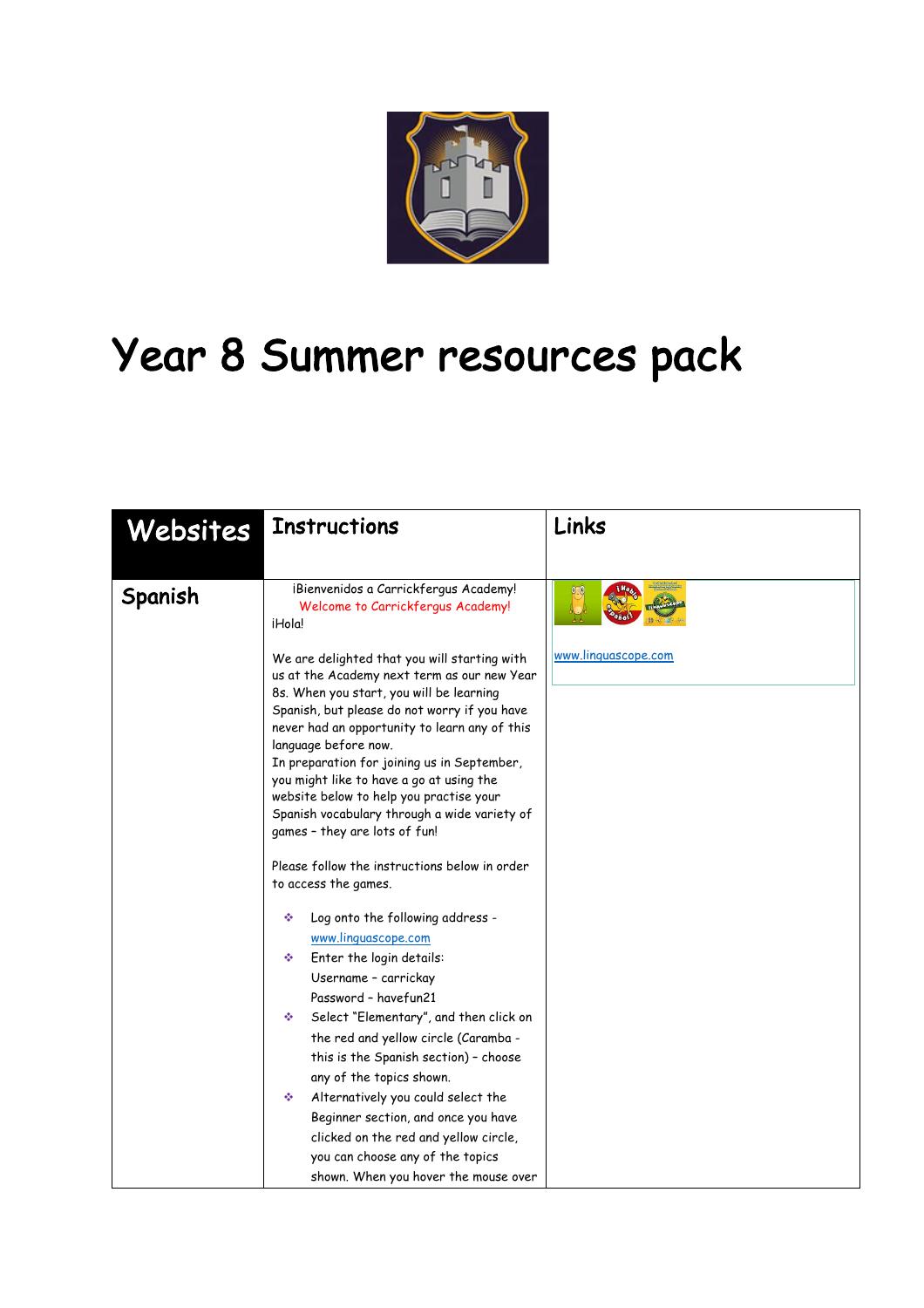

## Year 8 Summer resources pack

| Websites | <b>Instructions</b>                                                                                                                                                                                                                                                                                                                                                                                                                                                                                                                                                                                       | Links               |
|----------|-----------------------------------------------------------------------------------------------------------------------------------------------------------------------------------------------------------------------------------------------------------------------------------------------------------------------------------------------------------------------------------------------------------------------------------------------------------------------------------------------------------------------------------------------------------------------------------------------------------|---------------------|
| Spanish  | iBienvenidos a Carrickfergus Academy!<br>Welcome to Carrickfergus Academy!<br>iHola!                                                                                                                                                                                                                                                                                                                                                                                                                                                                                                                      |                     |
|          | We are delighted that you will starting with<br>us at the Academy next term as our new Year<br>8s. When you start, you will be learning<br>Spanish, but please do not worry if you have<br>never had an opportunity to learn any of this<br>language before now.<br>In preparation for joining us in September,<br>you might like to have a go at using the<br>website below to help you practise your<br>Spanish vocabulary through a wide variety of<br>games - they are lots of fun!<br>Please follow the instructions below in order<br>to access the games.<br>Log onto the following address -<br>٠ | www.linguascope.com |
|          | www.linguascope.com<br>Enter the login details:<br>٠<br>Username - carrickay<br>Password - havefun21<br>Select "Elementary", and then click on<br>壘<br>the red and yellow circle (Caramba -<br>this is the Spanish section) - choose<br>any of the topics shown.                                                                                                                                                                                                                                                                                                                                          |                     |
|          | Alternatively you could select the<br>÷<br>Beginner section, and once you have<br>clicked on the red and yellow circle,<br>you can choose any of the topics<br>shown. When you hover the mouse over                                                                                                                                                                                                                                                                                                                                                                                                       |                     |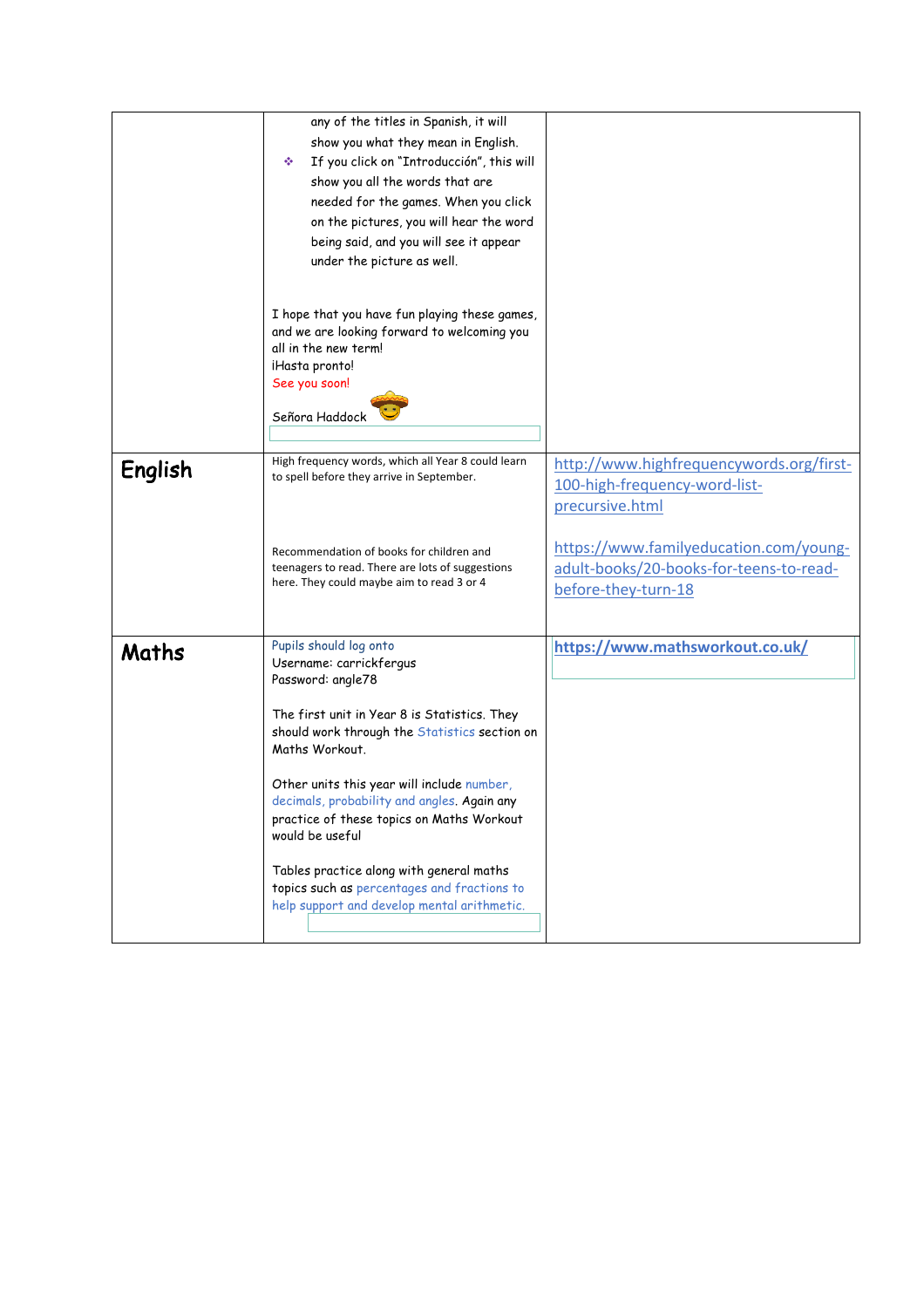|         | any of the titles in Spanish, it will<br>show you what they mean in English.<br>If you click on "Introducción", this will<br>壘<br>show you all the words that are<br>needed for the games. When you click<br>on the pictures, you will hear the word<br>being said, and you will see it appear<br>under the picture as well. |                                                                                                                                        |
|---------|------------------------------------------------------------------------------------------------------------------------------------------------------------------------------------------------------------------------------------------------------------------------------------------------------------------------------|----------------------------------------------------------------------------------------------------------------------------------------|
|         | I hope that you have fun playing these games,<br>and we are looking forward to welcoming you<br>all in the new term!<br>iHasta pronto!<br>See you soon!<br>Señora Haddock                                                                                                                                                    |                                                                                                                                        |
| English | High frequency words, which all Year 8 could learn<br>to spell before they arrive in September.<br>Recommendation of books for children and                                                                                                                                                                                  | http://www.highfrequencywords.org/first-<br>100-high-frequency-word-list-<br>precursive.html<br>https://www.familyeducation.com/young- |
|         | teenagers to read. There are lots of suggestions<br>here. They could maybe aim to read 3 or 4                                                                                                                                                                                                                                | adult-books/20-books-for-teens-to-read-<br>before-they-turn-18                                                                         |
| Maths   | Pupils should log onto<br>Username: carrickfergus<br>Password: angle78                                                                                                                                                                                                                                                       | https://www.mathsworkout.co.uk/                                                                                                        |
|         | The first unit in Year 8 is Statistics. They<br>should work through the Statistics section on<br>Maths Workout.                                                                                                                                                                                                              |                                                                                                                                        |
|         | Other units this year will include number,<br>decimals, probability and angles. Again any<br>practice of these topics on Maths Workout<br>would be useful                                                                                                                                                                    |                                                                                                                                        |
|         | Tables practice along with general maths<br>topics such as percentages and fractions to<br>help support and develop mental arithmetic.                                                                                                                                                                                       |                                                                                                                                        |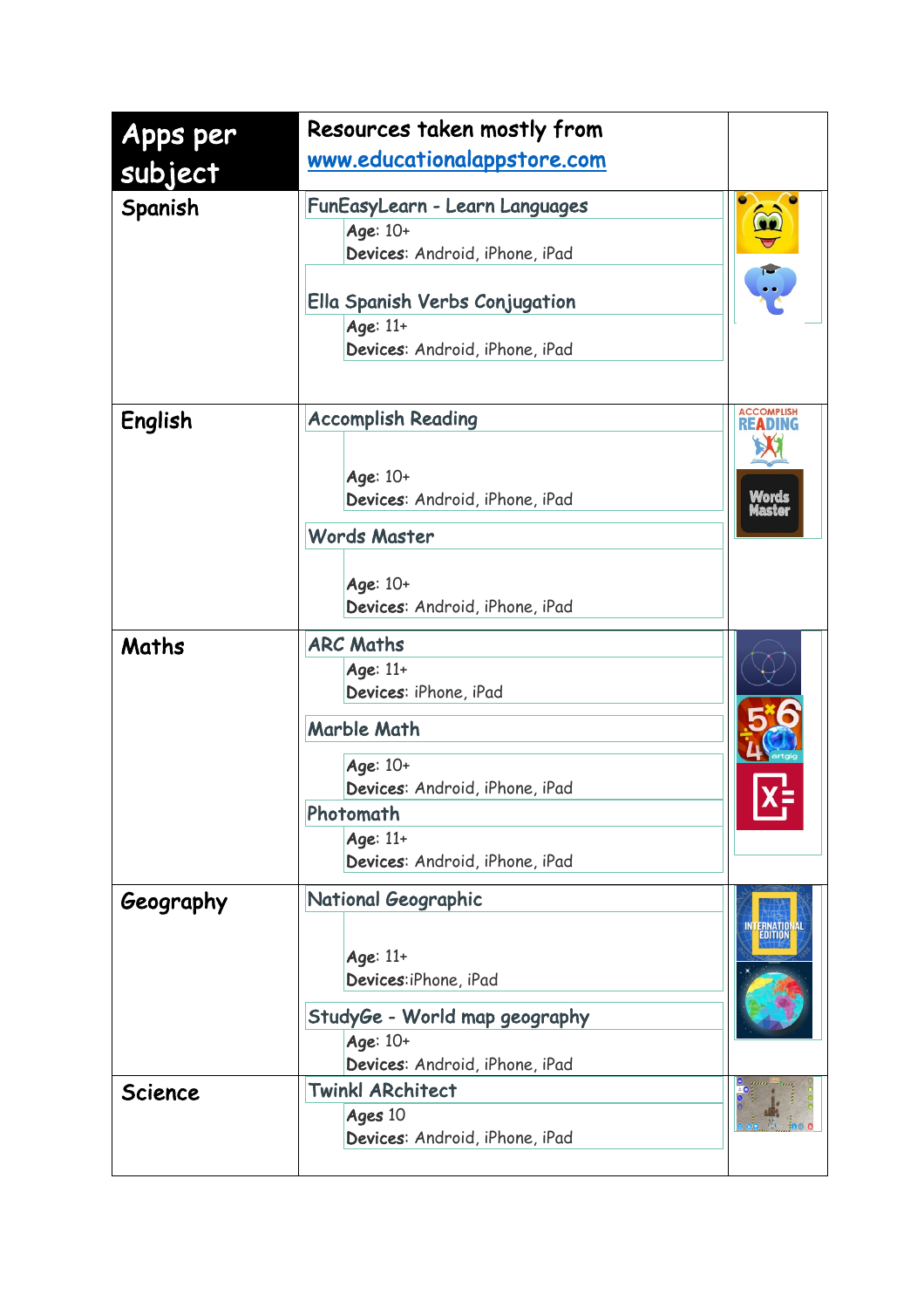| Apps per       | Resources taken mostly from                                                                                                                                                   |                                      |
|----------------|-------------------------------------------------------------------------------------------------------------------------------------------------------------------------------|--------------------------------------|
| subject        | www.educationalappstore.com                                                                                                                                                   |                                      |
| Spanish        | FunEasyLearn - Learn Languages<br>Age: 10+<br>Devices: Android, iPhone, iPad<br>Ella Spanish Verbs Conjugation<br>Age: 11+<br>Devices: Android, iPhone, iPad                  |                                      |
| English        | <b>Accomplish Reading</b><br>Age: 10+<br>Devices: Android, iPhone, iPad<br><b>Words Master</b><br>Age: 10+<br>Devices: Android, iPhone, iPad                                  | <b>ACCOMPLISH</b><br>Words<br>faster |
| Maths          | <b>ARC Maths</b><br>Age: 11+<br>Devices: iPhone, iPad<br>Marble Math<br>Age: 10+<br>Devices: Android, iPhone, iPad<br>Photomath<br>Age: 11+<br>Devices: Android, iPhone, iPad |                                      |
| Geography      | National Geographic<br>Age: 11+<br>Devices: iPhone, iPad<br>StudyGe - World map geography<br>Age: 10+<br>Devices: Android, iPhone, iPad                                       | <b>ERNATION</b>                      |
| <b>Science</b> | <b>Twinkl ARchitect</b><br>Ages 10<br>Devices: Android, iPhone, iPad                                                                                                          |                                      |